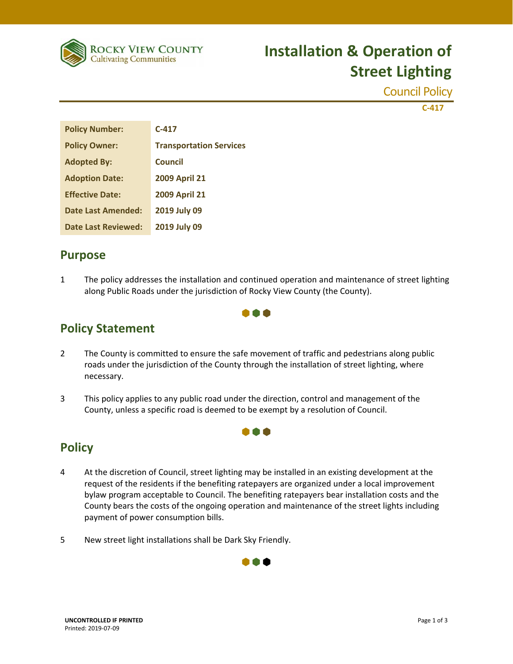

# **Installation & Operation of Street Lighting**

Council Policy

**C‐417** 

| <b>Policy Number:</b>  | $C-417$                        |
|------------------------|--------------------------------|
| <b>Policy Owner:</b>   | <b>Transportation Services</b> |
| <b>Adopted By:</b>     | Council                        |
| <b>Adoption Date:</b>  | <b>2009 April 21</b>           |
| <b>Effective Date:</b> | <b>2009 April 21</b>           |
| Date Last Amended:     | 2019 July 09                   |
| Date Last Reviewed:    | 2019 July 09                   |

#### **Purpose**

1 The policy addresses the installation and continued operation and maintenance of street lighting along Public Roads under the jurisdiction of Rocky View County (the County).



### **Policy Statement**

- 2 The County is committed to ensure the safe movement of traffic and pedestrians along public roads under the jurisdiction of the County through the installation of street lighting, where necessary.
- 3 This policy applies to any public road under the direction, control and management of the County, unless a specific road is deemed to be exempt by a resolution of Council.

### **Policy**

4 At the discretion of Council, street lighting may be installed in an existing development at the request of the residents if the benefiting ratepayers are organized under a local improvement bylaw program acceptable to Council. The benefiting ratepayers bear installation costs and the County bears the costs of the ongoing operation and maintenance of the street lights including payment of power consumption bills.

A A A

5 New street light installations shall be Dark Sky Friendly.

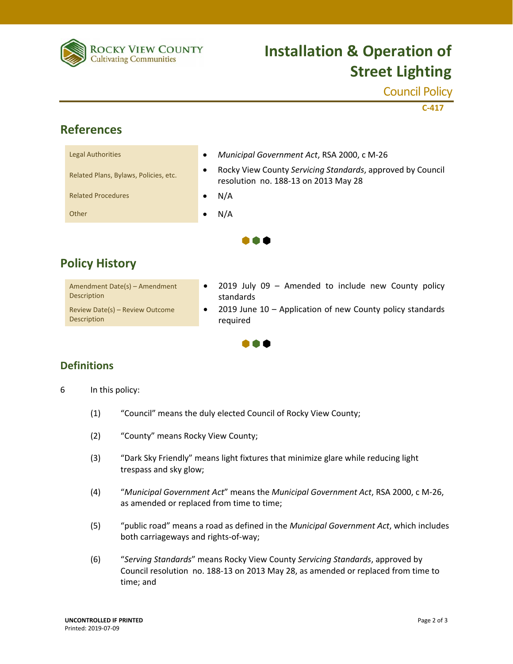

# **Installation & Operation of Street Lighting**

Council Policy

**C‐417** 

## **References**

| <b>Legal Authorities</b>              | Municipal Government Act, RSA 2000, c M-26<br>٠                                                                 |  |
|---------------------------------------|-----------------------------------------------------------------------------------------------------------------|--|
| Related Plans, Bylaws, Policies, etc. | Rocky View County Servicing Standards, approved by Council<br>$\bullet$<br>resolution no. 188-13 on 2013 May 28 |  |
| <b>Related Procedures</b>             | N/A                                                                                                             |  |
| Other                                 | N/A                                                                                                             |  |
| 88 A                                  |                                                                                                                 |  |

## **Policy History**

| Amendment Date(s) - Amendment   | 2019 July 09 – Amended to include new County policy       |
|---------------------------------|-----------------------------------------------------------|
| Description                     | standards                                                 |
| Review Date(s) - Review Outcome | 2019 June 10 – Application of new County policy standards |
| Description                     | reguired                                                  |



#### **Definitions**

- 6 In this policy:
	- (1) "Council" means the duly elected Council of Rocky View County;
	- (2) "County" means Rocky View County;
	- (3) "Dark Sky Friendly" means light fixtures that minimize glare while reducing light trespass and sky glow;
	- (4) "*Municipal Government Act*" means the *Municipal Government Act*, RSA 2000, c M‐26, as amended or replaced from time to time;
	- (5) "public road" means a road as defined in the *Municipal Government Act*, which includes both carriageways and rights‐of‐way;
	- (6) "*Serving Standards*" means Rocky View County *Servicing Standards*, approved by Council resolution no. 188‐13 on 2013 May 28, as amended or replaced from time to time; and